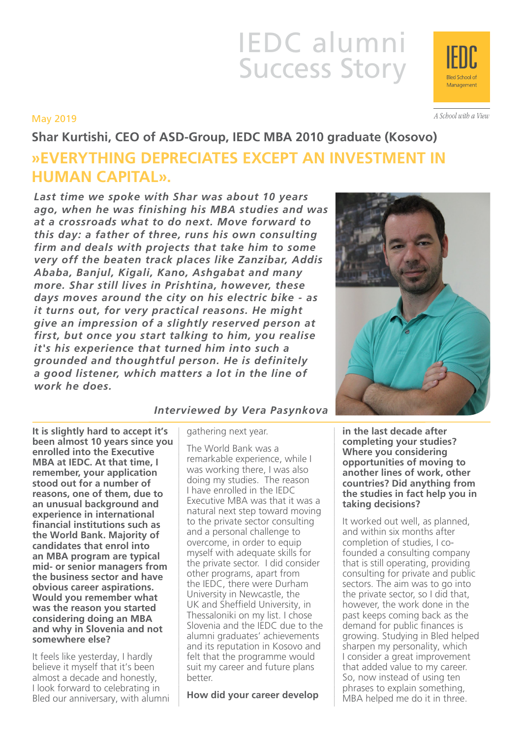# IEDC alumni Success Story

## May 2019

**Shar Kurtishi, CEO of ASD-Group, IEDC MBA 2010 graduate (Kosovo) »EVERYTHING DEPRECIATES EXCEPT AN INVESTMENT IN HUMAN CAPITAL».**

*Last time we spoke with Shar was about 10 years ago, when he was finishing his MBA studies and was at a crossroads what to do next. Move forward to this day: a father of three, runs his own consulting firm and deals with projects that take him to some very off the beaten track places like Zanzibar, Addis Ababa, Banjul, Kigali, Kano, Ashgabat and many more. Shar still lives in Prishtina, however, these days moves around the city on his electric bike - as it turns out, for very practical reasons. He might give an impression of a slightly reserved person at first, but once you start talking to him, you realise it's his experience that turned him into such a grounded and thoughtful person. He is definitely a good listener, which matters a lot in the line of work he does.*

**It is slightly hard to accept it's been almost 10 years since you enrolled into the Executive MBA at IEDC. At that time, I remember, your application stood out for a number of reasons, one of them, due to an unusual background and experience in international financial institutions such as the World Bank. Majority of candidates that enrol into an MBA program are typical mid- or senior managers from the business sector and have obvious career aspirations. Would you remember what was the reason you started considering doing an MBA and why in Slovenia and not somewhere else?**

It feels like yesterday, I hardly believe it myself that it's been almost a decade and honestly, I look forward to celebrating in Bled our anniversary, with alumni

## *Interviewed by Vera Pasynkova*

gathering next year.

The World Bank was a remarkable experience, while I was working there, I was also doing my studies. The reason I have enrolled in the IEDC Executive MBA was that it was a natural next step toward moving to the private sector consulting and a personal challenge to overcome, in order to equip myself with adequate skills for the private sector. I did consider other programs, apart from the IEDC, there were Durham University in Newcastle, the UK and Sheffield University, in Thessaloniki on my list. I chose Slovenia and the IEDC due to the alumni graduates' achievements and its reputation in Kosovo and felt that the programme would suit my career and future plans better.

**How did your career develop** 

**in the last decade after completing your studies? Where you considering opportunities of moving to another lines of work, other countries? Did anything from the studies in fact help you in taking decisions?**

It worked out well, as planned, and within six months after completion of studies, I cofounded a consulting company that is still operating, providing consulting for private and public sectors. The aim was to go into the private sector, so I did that, however, the work done in the past keeps coming back as the demand for public finances is growing. Studying in Bled helped sharpen my personality, which I consider a great improvement that added value to my career. So, now instead of using ten phrases to explain something, MBA helped me do it in three.





A School with a View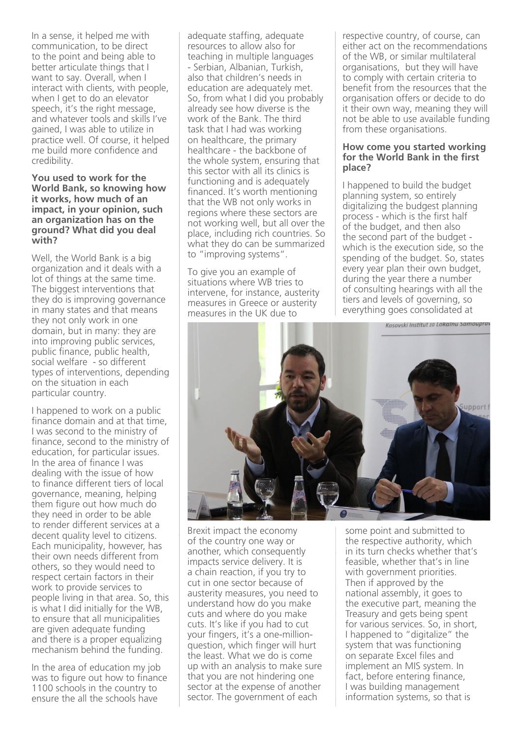In a sense, it helped me with communication, to be direct to the point and being able to better articulate things that I want to say. Overall, when I interact with clients, with people, when I get to do an elevator speech, it's the right message, and whatever tools and skills I've gained, I was able to utilize in practice well. Of course, it helped me build more confidence and credibility.

#### **You used to work for the World Bank, so knowing how it works, how much of an impact, in your opinion, such an organization has on the ground? What did you deal with?**

Well, the World Bank is a big organization and it deals with a lot of things at the same time. The biggest interventions that they do is improving governance in many states and that means they not only work in one domain, but in many: they are into improving public services, public finance, public health, social welfare - so different types of interventions, depending on the situation in each particular country.

I happened to work on a public finance domain and at that time, I was second to the ministry of finance, second to the ministry of education, for particular issues. In the area of finance I was dealing with the issue of how to finance different tiers of local governance, meaning, helping them figure out how much do they need in order to be able to render different services at a decent quality level to citizens. Each municipality, however, has their own needs different from others, so they would need to respect certain factors in their work to provide services to people living in that area. So, this is what I did initially for the WB, to ensure that all municipalities are given adequate funding and there is a proper equalizing mechanism behind the funding.

In the area of education my job was to figure out how to finance 1100 schools in the country to ensure the all the schools have

adequate staffing, adequate resources to allow also for teaching in multiple languages - Serbian, Albanian, Turkish, also that children's needs in education are adequately met. So, from what I did you probably already see how diverse is the work of the Bank. The third task that I had was working on healthcare, the primary healthcare - the backbone of the whole system, ensuring that this sector with all its clinics is functioning and is adequately financed. It's worth mentioning that the WB not only works in regions where these sectors are not working well, but all over the place, including rich countries. So what they do can be summarized to "improving systems".

To give you an example of situations where WB tries to intervene, for instance, austerity measures in Greece or austerity measures in the UK due to

respective country, of course, can either act on the recommendations of the WB, or similar multilateral organisations, but they will have to comply with certain criteria to benefit from the resources that the organisation offers or decide to do it their own way, meaning they will not be able to use available funding from these organisations.

#### **How come you started working for the World Bank in the first place?**

I happened to build the budget planning system, so entirely digitalizing the budgest planning process - which is the first half of the budget, and then also the second part of the budget which is the execution side, so the spending of the budget. So, states every year plan their own budget, during the year there a number of consulting hearings with all the tiers and levels of governing, so everything goes consolidated at



Brexit impact the economy of the country one way or another, which consequently impacts service delivery. It is a chain reaction, if you try to cut in one sector because of austerity measures, you need to understand how do you make cuts and where do you make cuts. It's like if you had to cut your fingers, it's a one-millionquestion, which finger will hurt the least. What we do is come up with an analysis to make sure that you are not hindering one sector at the expense of another sector. The government of each

some point and submitted to the respective authority, which in its turn checks whether that's feasible, whether that's in line with government priorities. Then if approved by the national assembly, it goes to the executive part, meaning the Treasury and gets being spent for various services. So, in short, I happened to "digitalize" the system that was functioning on separate Excel files and implement an MIS system. In fact, before entering finance, I was building management information systems, so that is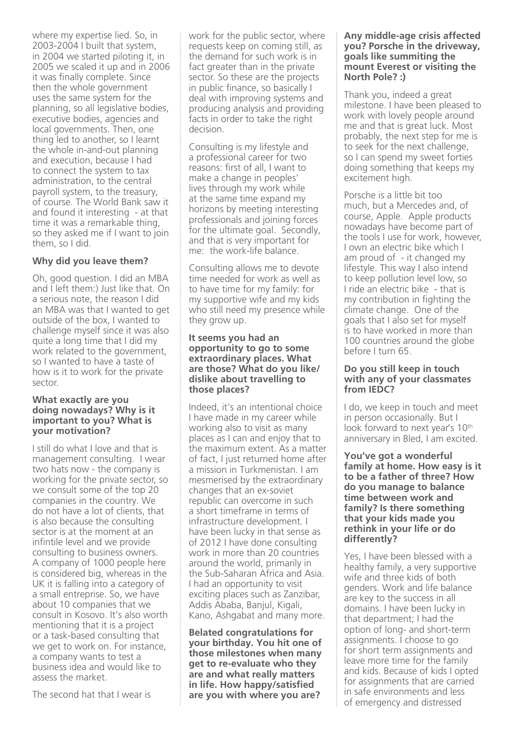where my expertise lied. So, in 2003-2004 I built that system, in 2004 we started piloting it, in 2005 we scaled it up and in 2006 it was finally complete. Since then the whole government uses the same system for the planning, so all legislative bodies, executive bodies, agencies and local governments. Then, one thing led to another, so I learnt the whole in-and-out planning and execution, because I had to connect the system to tax administration, to the central payroll system, to the treasury, of course. The World Bank saw it and found it interesting - at that time it was a remarkable thing, so they asked me if I want to join them, so I did.

### **Why did you leave them?**

Oh, good question. I did an MBA and I left them:) Just like that. On a serious note, the reason I did an MBA was that I wanted to get outside of the box, I wanted to challenge myself since it was also quite a long time that I did my work related to the government, so I wanted to have a taste of how is it to work for the private sector.

#### **What exactly are you doing nowadays? Why is it important to you? What is your motivation?**

I still do what I love and that is management consulting. I wear two hats now - the company is working for the private sector, so we consult some of the top 20 companies in the country. We do not have a lot of clients, that is also because the consulting sector is at the moment at an infintile level and we provide consulting to business owners. A company of 1000 people here is considered big, whereas in the UK it is falling into a category of a small entreprise. So, we have about 10 companies that we consult in Kosovo. It's also worth mentioning that it is a project or a task-based consulting that we get to work on. For instance, a company wants to test a business idea and would like to assess the market.

The second hat that I wear is

work for the public sector, where requests keep on coming still, as the demand for such work is in fact greater than in the private sector. So these are the projects in public finance, so basically I deal with improving systems and producing analysis and providing facts in order to take the right decision.

Consulting is my lifestyle and a professional career for two reasons: first of all, I want to make a change in peoples' lives through my work while at the same time expand my horizons by meeting interesting professionals and joining forces for the ultimate goal. Secondly, and that is very important for me: the work-life balance.

Consulting allows me to devote time needed for work as well as to have time for my family: for my supportive wife and my kids who still need my presence while they grow up.

#### **It seems you had an opportunity to go to some extraordinary places. What are those? What do you like/ dislike about travelling to those places?**

Indeed, it's an intentional choice I have made in my career while working also to visit as many places as I can and enjoy that to the maximum extent. As a matter of fact, I just returned home after a mission in Turkmenistan. I am mesmerised by the extraordinary changes that an ex-soviet republic can overcome in such a short timeframe in terms of infrastructure development. I have been lucky in that sense as of 2012 I have done consulting work in more than 20 countries around the world, primarily in the Sub-Saharan Africa and Asia. I had an opportunity to visit exciting places such as Zanzibar, Addis Ababa, Banjul, Kigali, Kano, Ashgabat and many more.

**Belated congratulations for your birthday. You hit one of those milestones when many get to re-evaluate who they are and what really matters in life. How happy/satisfied are you with where you are?** 

#### **Any middle-age crisis affected you? Porsche in the driveway, goals like summiting the mount Everest or visiting the North Pole? :)**

Thank you, indeed a great milestone. I have been pleased to work with lovely people around me and that is great luck. Most probably, the next step for me is to seek for the next challenge, so I can spend my sweet forties doing something that keeps my excitement high.

Porsche is a little bit too much, but a Mercedes and, of course, Apple. Apple products nowadays have become part of the tools I use for work, however, I own an electric bike which I am proud of - it changed my lifestyle. This way I also intend to keep pollution level low, so I ride an electric bike - that is my contribution in fighting the climate change. One of the goals that I also set for myself is to have worked in more than 100 countries around the globe before I turn 65.

#### **Do you still keep in touch with any of your classmates from IEDC?**

I do, we keep in touch and meet in person occasionally. But I look forward to next year's 10<sup>th</sup> anniversary in Bled, I am excited.

**You've got a wonderful family at home. How easy is it to be a father of three? How do you manage to balance time between work and family? Is there something that your kids made you rethink in your life or do differently?**

Yes, I have been blessed with a healthy family, a very supportive wife and three kids of both genders. Work and life balance are key to the success in all domains. I have been lucky in that department; I had the option of long- and short-term assignments. I choose to go for short term assignments and leave more time for the family and kids. Because of kids I opted for assignments that are carried in safe environments and less of emergency and distressed